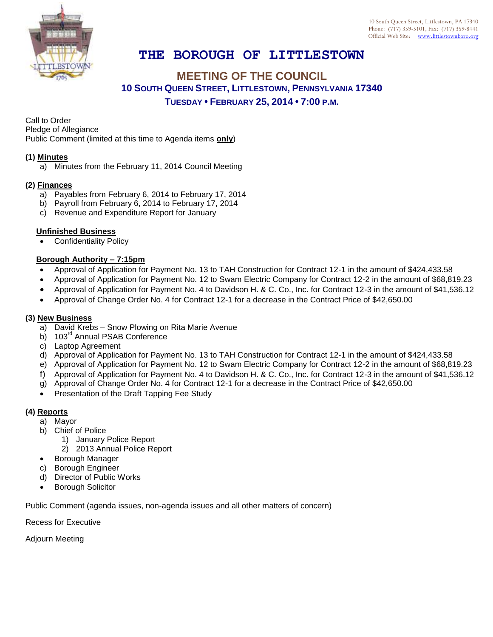

# **THE BOROUGH OF LITTLESTOWN**

## **MEETING OF THE COUNCIL 10 SOUTH QUEEN STREET, LITTLESTOWN, PENNSYLVANIA 17340 TUESDAY • FEBRUARY 25, 2014 • 7:00 P.M.**

Call to Order

Pledge of Allegiance

Public Comment (limited at this time to Agenda items **only**)

### **(1) Minutes**

a) Minutes from the February 11, 2014 Council Meeting

#### **(2) Finances**

- a) Payables from February 6, 2014 to February 17, 2014
- b) Payroll from February 6, 2014 to February 17, 2014
- c) Revenue and Expenditure Report for January

#### **Unfinished Business**

Confidentiality Policy

### **Borough Authority – 7:15pm**

- Approval of Application for Payment No. 13 to TAH Construction for Contract 12-1 in the amount of \$424,433.58
- Approval of Application for Payment No. 12 to Swam Electric Company for Contract 12-2 in the amount of \$68,819.23
- Approval of Application for Payment No. 4 to Davidson H. & C. Co., Inc. for Contract 12-3 in the amount of \$41,536.12
- Approval of Change Order No. 4 for Contract 12-1 for a decrease in the Contract Price of \$42,650.00

### **(3) New Business**

- a) David Krebs Snow Plowing on Rita Marie Avenue
- b) 103<sup>rd</sup> Annual PSAB Conference
- c) Laptop Agreement
- d) Approval of Application for Payment No. 13 to TAH Construction for Contract 12-1 in the amount of \$424,433.58
- e) Approval of Application for Payment No. 12 to Swam Electric Company for Contract 12-2 in the amount of \$68,819.23
- f) Approval of Application for Payment No. 4 to Davidson H. & C. Co., Inc. for Contract 12-3 in the amount of \$41,536.12
- g) Approval of Change Order No. 4 for Contract 12-1 for a decrease in the Contract Price of \$42,650.00
- Presentation of the Draft Tapping Fee Study

### **(4) Reports**

- a) Mayor
- b) Chief of Police
	- 1) January Police Report
	- 2) 2013 Annual Police Report
- Borough Manager
- c) Borough Engineer
- d) Director of Public Works
- Borough Solicitor

Public Comment (agenda issues, non-agenda issues and all other matters of concern)

Recess for Executive

Adjourn Meeting